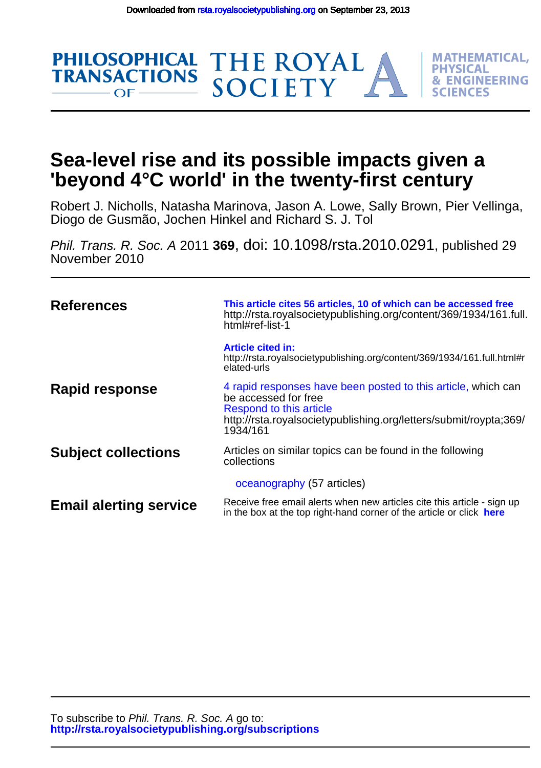**PHILOSOPHICAL** 

**TRANSACTIONS** 

 $OF -$ 



Diogo de Gusmão, Jochen Hinkel and Richard S. J. Tol Robert J. Nicholls, Natasha Marinova, Jason A. Lowe, Sally Brown, Pier Vellinga,

THE ROYAL<br>SOCIETY

**MATHEMATICAL. PHYSICAL** 

**& ENGINEERING** 

FS

November 2010 Phil. Trans. R. Soc. A 2011 **369**, doi: 10.1098/rsta.2010.0291, published 29

| <b>References</b>             | This article cites 56 articles, 10 of which can be accessed free<br>http://rsta.royalsocietypublishing.org/content/369/1934/161.full.<br>html#ref-list-1                                          |  |
|-------------------------------|---------------------------------------------------------------------------------------------------------------------------------------------------------------------------------------------------|--|
|                               | <b>Article cited in:</b><br>http://rsta.royalsocietypublishing.org/content/369/1934/161.full.html#r<br>elated-urls                                                                                |  |
| <b>Rapid response</b>         | 4 rapid responses have been posted to this article, which can<br>be accessed for free<br>Respond to this article<br>http://rsta.royalsocietypublishing.org/letters/submit/roypta;369/<br>1934/161 |  |
| <b>Subject collections</b>    | Articles on similar topics can be found in the following<br>collections                                                                                                                           |  |
|                               | oceanography (57 articles)                                                                                                                                                                        |  |
| <b>Email alerting service</b> | Receive free email alerts when new articles cite this article - sign up<br>in the box at the top right-hand corner of the article or click here                                                   |  |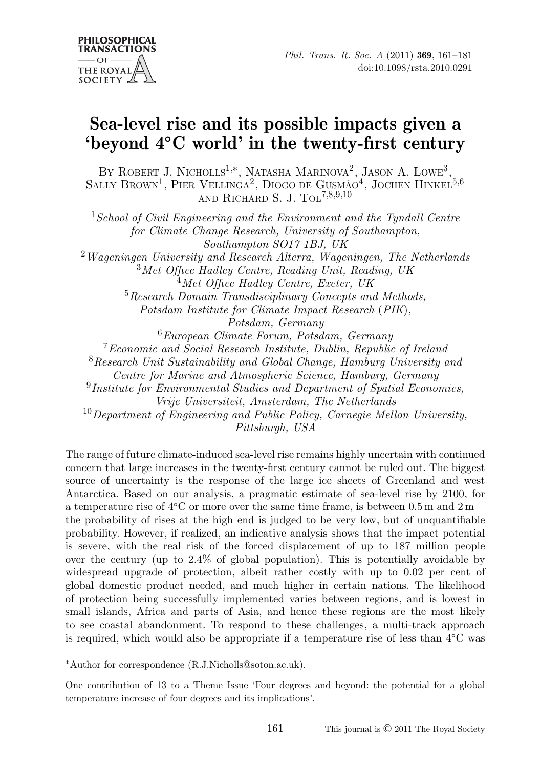# **Sea-level rise and its possible impacts given a 'beyond 4◦C world' in the twenty-first century**

BY ROBERT J. NICHOLLS<sup>1,\*</sup>, NATASHA MARINOVA<sup>2</sup>, JASON A. LOWE<sup>3</sup>, SALLY BROWN<sup>1</sup>, PIER VELLINGA<sup>2</sup>, DIOGO DE GUSMÃO<sup>4</sup>, JOCHEN HINKEL<sup>5,6</sup> AND RICHARD S. J. TOL<sup>7,8,9,10</sup>

<sup>1</sup>*School of Civil Engineering and the Environment and the Tyndall Centre for Climate Change Research, University of Southampton, Southampton SO17 1BJ, UK* <sup>2</sup>*Wageningen University and Research Alterra, Wageningen, The Netherlands* <sup>3</sup>*Met Office Hadley Centre, Reading Unit, Reading, UK* <sup>4</sup>*Met Office Hadley Centre, Exeter, UK* <sup>5</sup>*Research Domain Transdisciplinary Concepts and Methods, Potsdam Institute for Climate Impact Research* (*PIK*)*, Potsdam, Germany* <sup>6</sup>*European Climate Forum, Potsdam, Germany* <sup>7</sup>*Economic and Social Research Institute, Dublin, Republic of Ireland* <sup>8</sup>*Research Unit Sustainability and Global Change, Hamburg University and Centre for Marine and Atmospheric Science, Hamburg, Germany* <sup>9</sup>*Institute for Environmental Studies and Department of Spatial Economics, Vrije Universiteit, Amsterdam, The Netherlands* <sup>10</sup>*Department of Engineering and Public Policy, Carnegie Mellon University, Pittsburgh, USA*

The range of future climate-induced sea-level rise remains highly uncertain with continued concern that large increases in the twenty-first century cannot be ruled out. The biggest source of uncertainty is the response of the large ice sheets of Greenland and west Antarctica. Based on our analysis, a pragmatic estimate of sea-level rise by 2100, for a temperature rise of 4◦C or more over the same time frame, is between 0.5 m and 2 m the probability of rises at the high end is judged to be very low, but of unquantifiable probability. However, if realized, an indicative analysis shows that the impact potential is severe, with the real risk of the forced displacement of up to 187 million people over the century (up to 2.4% of global population). This is potentially avoidable by widespread upgrade of protection, albeit rather costly with up to 0.02 per cent of global domestic product needed, and much higher in certain nations. The likelihood of protection being successfully implemented varies between regions, and is lowest in small islands, Africa and parts of Asia, and hence these regions are the most likely to see coastal abandonment. To respond to these challenges, a multi-track approach is required, which would also be appropriate if a temperature rise of less than 4◦C was

∗Author for correspondence (R.J.Nicholls@soton.ac.uk).

One contribution of 13 to a Theme Issue 'Four degrees and beyond: the potential for a global temperature increase of four degrees and its implications'.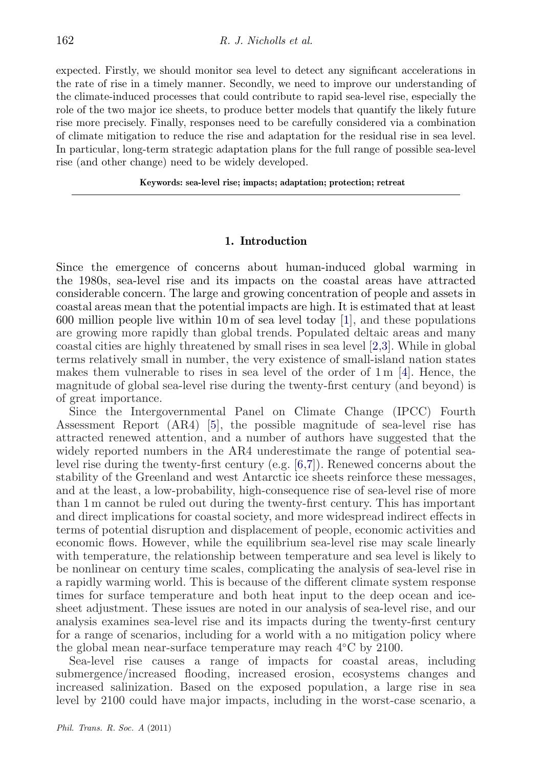expected. Firstly, we should monitor sea level to detect any significant accelerations in the rate of rise in a timely manner. Secondly, we need to improve our understanding of the climate-induced processes that could contribute to rapid sea-level rise, especially the role of the two major ice sheets, to produce better models that quantify the likely future rise more precisely. Finally, responses need to be carefully considered via a combination of climate mitigation to reduce the rise and adaptation for the residual rise in sea level. In particular, long-term strategic adaptation plans for the full range of possible sea-level rise (and other change) need to be widely developed.

**Keywords: sea-level rise; impacts; adaptation; protection; retreat**

### **1. Introduction**

Since the emergence of concerns about human-induced global warming in the 1980s, sea-level rise and its impacts on the coastal areas have attracted considerable concern. The large and growing concentration of people and assets in coastal areas mean that the potential impacts are high. It is estimated that at least 600 million people live within 10 m of sea level today  $[1]$ , and these populations are growing more rapidly than global trends. Populated deltaic areas and many coastal cities are highly threatened by small rises in sea level [\[2,3\]](#page-17-0). While in global terms relatively small in number, the very existence of small-island nation states makes them vulnerable to rises in sea level of the order of  $1 \text{ m } [4]$  $1 \text{ m } [4]$ . Hence, the magnitude of global sea-level rise during the twenty-first century (and beyond) is of great importance.

Since the Intergovernmental Panel on Climate Change (IPCC) Fourth Assessment Report (AR4) [\[5\]](#page-18-0), the possible magnitude of sea-level rise has attracted renewed attention, and a number of authors have suggested that the widely reported numbers in the AR4 underestimate the range of potential sealevel rise during the twenty-first century (e.g. [\[6,7\]](#page-18-0)). Renewed concerns about the stability of the Greenland and west Antarctic ice sheets reinforce these messages, and at the least, a low-probability, high-consequence rise of sea-level rise of more than 1 m cannot be ruled out during the twenty-first century. This has important and direct implications for coastal society, and more widespread indirect effects in terms of potential disruption and displacement of people, economic activities and economic flows. However, while the equilibrium sea-level rise may scale linearly with temperature, the relationship between temperature and sea level is likely to be nonlinear on century time scales, complicating the analysis of sea-level rise in a rapidly warming world. This is because of the different climate system response times for surface temperature and both heat input to the deep ocean and icesheet adjustment. These issues are noted in our analysis of sea-level rise, and our analysis examines sea-level rise and its impacts during the twenty-first century for a range of scenarios, including for a world with a no mitigation policy where the global mean near-surface temperature may reach 4◦C by 2100.

Sea-level rise causes a range of impacts for coastal areas, including submergence/increased flooding, increased erosion, ecosystems changes and increased salinization. Based on the exposed population, a large rise in sea level by 2100 could have major impacts, including in the worst-case scenario, a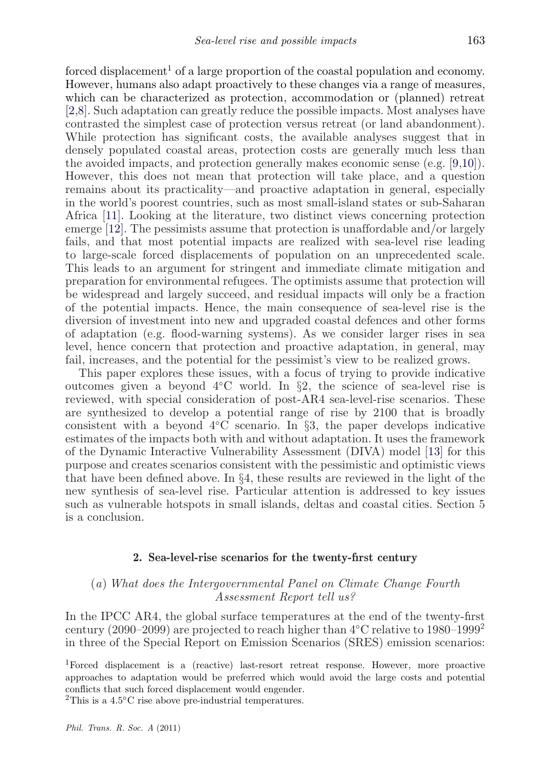forced displacement<sup>1</sup> of a large proportion of the coastal population and economy. However, humans also adapt proactively to these changes via a range of measures, which can be characterized as protection, accommodation or (planned) retreat [\[2](#page-17-0)[,8\]](#page-18-0). Such adaptation can greatly reduce the possible impacts. Most analyses have contrasted the simplest case of protection versus retreat (or land abandonment). While protection has significant costs, the available analyses suggest that in densely populated coastal areas, protection costs are generally much less than the avoided impacts, and protection generally makes economic sense (e.g. [\[9,10\]](#page-18-0)). However, this does not mean that protection will take place, and a question remains about its practicality—and proactive adaptation in general, especially in the world's poorest countries, such as most small-island states or sub-Saharan Africa [\[11\]](#page-18-0). Looking at the literature, two distinct views concerning protection emerge [\[12\]](#page-18-0). The pessimists assume that protection is unaffordable and/or largely fails, and that most potential impacts are realized with sea-level rise leading to large-scale forced displacements of population on an unprecedented scale. This leads to an argument for stringent and immediate climate mitigation and preparation for environmental refugees. The optimists assume that protection will be widespread and largely succeed, and residual impacts will only be a fraction of the potential impacts. Hence, the main consequence of sea-level rise is the diversion of investment into new and upgraded coastal defences and other forms of adaptation (e.g. flood-warning systems). As we consider larger rises in sea level, hence concern that protection and proactive adaptation, in general, may fail, increases, and the potential for the pessimist's view to be realized grows.

This paper explores these issues, with a focus of trying to provide indicative outcomes given a beyond  $4<sup>o</sup>C world. In §2, the science of sea-level rise is$ reviewed, with special consideration of post-AR4 sea-level-rise scenarios. These are synthesized to develop a potential range of rise by 2100 that is broadly consistent with a beyond  $4°C$  scenario. In §3, the paper develops indicative estimates of the impacts both with and without adaptation. It uses the framework of the Dynamic Interactive Vulnerability Assessment (DIVA) model [\[13\]](#page-18-0) for this purpose and creates scenarios consistent with the pessimistic and optimistic views that have been defined above. In §4, these results are reviewed in the light of the new synthesis of sea-level rise. Particular attention is addressed to key issues such as vulnerable hotspots in small islands, deltas and coastal cities. Section 5 is a conclusion.

#### **2. Sea-level-rise scenarios for the twenty-first century**

## (*a*) *What does the Intergovernmental Panel on Climate Change Fourth Assessment Report tell us?*

In the IPCC AR4, the global surface temperatures at the end of the twenty-first century (2090–2099) are projected to reach higher than  $4°C$  relative to 1980–1999<sup>2</sup> in three of the Special Report on Emission Scenarios (SRES) emission scenarios:

1Forced displacement is a (reactive) last-resort retreat response. However, more proactive approaches to adaptation would be preferred which would avoid the large costs and potential conflicts that such forced displacement would engender.

<sup>2</sup>This is a 4.5 $\rm ^{\circ}C$  rise above pre-industrial temperatures.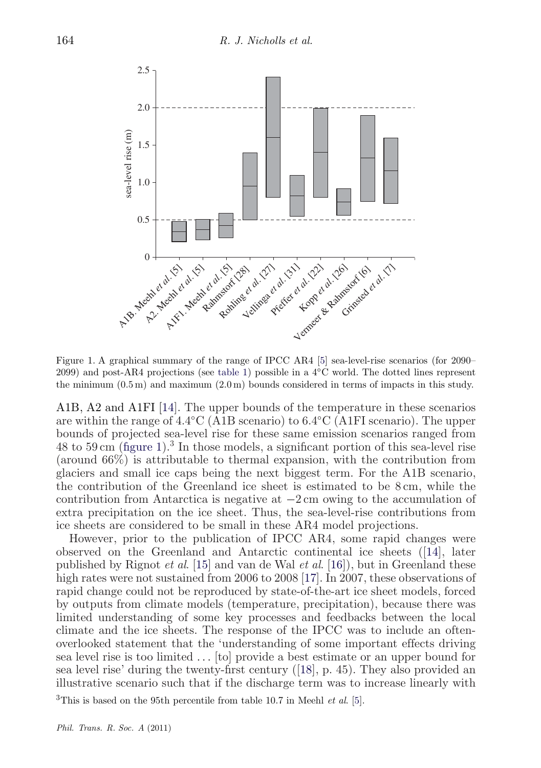<span id="page-4-0"></span>

Figure 1. A graphical summary of the range of IPCC AR4 [\[5\]](#page-18-0) sea-level-rise scenarios (for 2090– 2099) and post-AR4 projections (see [table 1\)](#page-7-0) possible in a 4◦C world. The dotted lines represent the minimum (0.5 m) and maximum (2.0 m) bounds considered in terms of impacts in this study.

A1B, A2 and A1FI [\[14\]](#page-18-0). The upper bounds of the temperature in these scenarios are within the range of 4.4◦C (A1B scenario) to 6.4◦C (A1FI scenario). The upper bounds of projected sea-level rise for these same emission scenarios ranged from 48 to 59 cm (figure 1).<sup>3</sup> In those models, a significant portion of this sea-level rise (around 66%) is attributable to thermal expansion, with the contribution from glaciers and small ice caps being the next biggest term. For the A1B scenario, the contribution of the Greenland ice sheet is estimated to be 8 cm, while the contribution from Antarctica is negative at −2 cm owing to the accumulation of extra precipitation on the ice sheet. Thus, the sea-level-rise contributions from ice sheets are considered to be small in these AR4 model projections.

However, prior to the publication of IPCC AR4, some rapid changes were observed on the Greenland and Antarctic continental ice sheets ([\[14\]](#page-18-0), later published by Rignot *et al*. [\[15\]](#page-18-0) and van de Wal *et al*. [\[16\]](#page-18-0)), but in Greenland these high rates were not sustained from 2006 to 2008 [\[17\]](#page-18-0). In 2007, these observations of rapid change could not be reproduced by state-of-the-art ice sheet models, forced by outputs from climate models (temperature, precipitation), because there was limited understanding of some key processes and feedbacks between the local climate and the ice sheets. The response of the IPCC was to include an oftenoverlooked statement that the 'understanding of some important effects driving sea level rise is too limited *...* [to] provide a best estimate or an upper bound for sea level rise' during the twenty-first century ([\[18\]](#page-18-0), p. 45). They also provided an illustrative scenario such that if the discharge term was to increase linearly with

3This is based on the 95th percentile from table 10.7 in Meehl *et al*. [\[5\]](#page-18-0).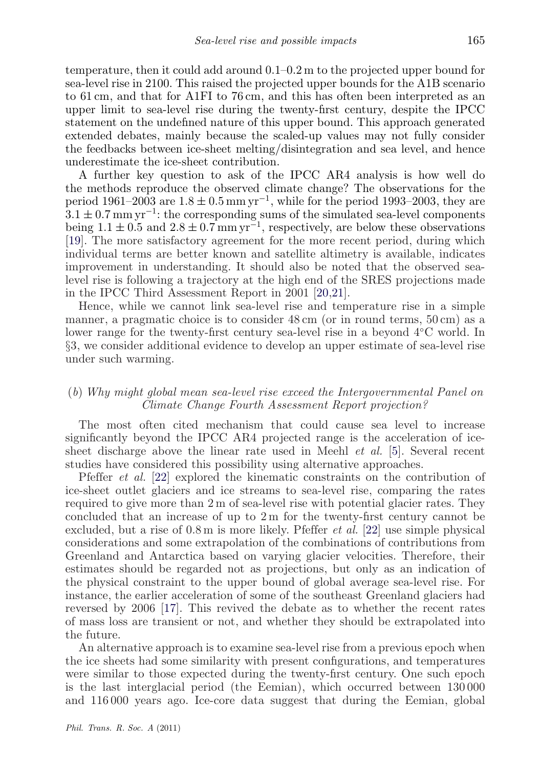temperature, then it could add around 0.1–0.2 m to the projected upper bound for sea-level rise in 2100. This raised the projected upper bounds for the A1B scenario to 61 cm, and that for A1FI to 76 cm, and this has often been interpreted as an upper limit to sea-level rise during the twenty-first century, despite the IPCC statement on the undefined nature of this upper bound. This approach generated extended debates, mainly because the scaled-up values may not fully consider the feedbacks between ice-sheet melting/disintegration and sea level, and hence underestimate the ice-sheet contribution.

A further key question to ask of the IPCC AR4 analysis is how well do the methods reproduce the observed climate change? The observations for the period 1961–2003 are  $1.8 \pm 0.5$  mm yr<sup>-1</sup>, while for the period 1993–2003, they are  $3.1 \pm 0.7$  mm yr<sup>-1</sup>: the corresponding sums of the simulated sea-level components being  $1.1 \pm 0.5$  and  $2.8 \pm 0.7$  mm yr<sup>-1</sup>, respectively, are below these observations [\[19\]](#page-18-0). The more satisfactory agreement for the more recent period, during which individual terms are better known and satellite altimetry is available, indicates improvement in understanding. It should also be noted that the observed sealevel rise is following a trajectory at the high end of the SRES projections made in the IPCC Third Assessment Report in 2001 [\[20,](#page-18-0)[21\]](#page-19-0).

Hence, while we cannot link sea-level rise and temperature rise in a simple manner, a pragmatic choice is to consider 48 cm (or in round terms, 50 cm) as a lower range for the twenty-first century sea-level rise in a beyond 4◦C world. In §3, we consider additional evidence to develop an upper estimate of sea-level rise under such warming.

## (*b*) *Why might global mean sea-level rise exceed the Intergovernmental Panel on Climate Change Fourth Assessment Report projection?*

The most often cited mechanism that could cause sea level to increase significantly beyond the IPCC AR4 projected range is the acceleration of icesheet discharge above the linear rate used in Meehl *et al.* [\[5\]](#page-18-0). Several recent studies have considered this possibility using alternative approaches.

Pfeffer *et al.* [\[22\]](#page-19-0) explored the kinematic constraints on the contribution of ice-sheet outlet glaciers and ice streams to sea-level rise, comparing the rates required to give more than 2 m of sea-level rise with potential glacier rates. They concluded that an increase of up to 2 m for the twenty-first century cannot be excluded, but a rise of 0.8 m is more likely. Pfeffer *et al.* [\[22\]](#page-19-0) use simple physical considerations and some extrapolation of the combinations of contributions from Greenland and Antarctica based on varying glacier velocities. Therefore, their estimates should be regarded not as projections, but only as an indication of the physical constraint to the upper bound of global average sea-level rise. For instance, the earlier acceleration of some of the southeast Greenland glaciers had reversed by 2006 [\[17\]](#page-18-0). This revived the debate as to whether the recent rates of mass loss are transient or not, and whether they should be extrapolated into the future.

An alternative approach is to examine sea-level rise from a previous epoch when the ice sheets had some similarity with present configurations, and temperatures were similar to those expected during the twenty-first century. One such epoch is the last interglacial period (the Eemian), which occurred between 130 000 and 116 000 years ago. Ice-core data suggest that during the Eemian, global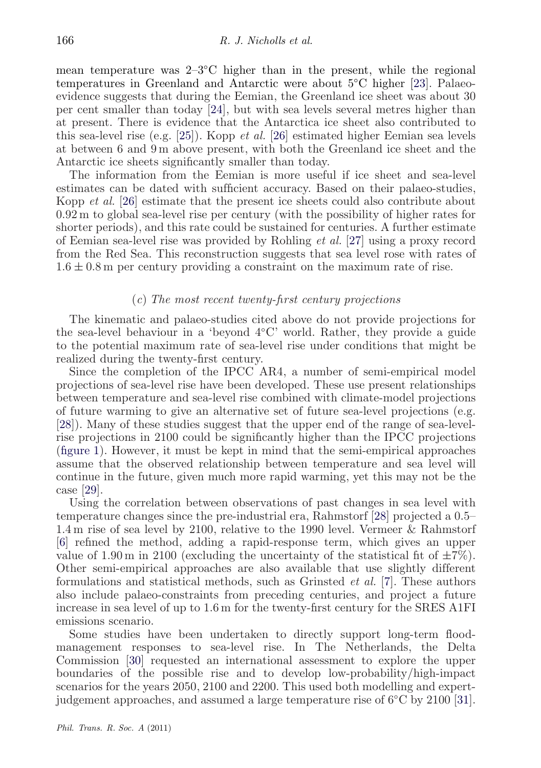mean temperature was  $2-3\degree C$  higher than in the present, while the regional temperatures in Greenland and Antarctic were about 5◦C higher [\[23\]](#page-19-0). Palaeoevidence suggests that during the Eemian, the Greenland ice sheet was about 30 per cent smaller than today [\[24\]](#page-19-0), but with sea levels several metres higher than at present. There is evidence that the Antarctica ice sheet also contributed to this sea-level rise (e.g. [\[25\]](#page-19-0)). Kopp *et al.* [\[26\]](#page-19-0) estimated higher Eemian sea levels at between 6 and 9 m above present, with both the Greenland ice sheet and the Antarctic ice sheets significantly smaller than today.

The information from the Eemian is more useful if ice sheet and sea-level estimates can be dated with sufficient accuracy. Based on their palaeo-studies, Kopp *et al.* [\[26\]](#page-19-0) estimate that the present ice sheets could also contribute about 0.92 m to global sea-level rise per century (with the possibility of higher rates for shorter periods), and this rate could be sustained for centuries. A further estimate of Eemian sea-level rise was provided by Rohling *et al.* [\[27\]](#page-19-0) using a proxy record from the Red Sea. This reconstruction suggests that sea level rose with rates of  $1.6 \pm 0.8$  m per century providing a constraint on the maximum rate of rise.

#### (*c*) *The most recent twenty-first century projections*

The kinematic and palaeo-studies cited above do not provide projections for the sea-level behaviour in a 'beyond 4◦C' world. Rather, they provide a guide to the potential maximum rate of sea-level rise under conditions that might be realized during the twenty-first century.

Since the completion of the IPCC AR4, a number of semi-empirical model projections of sea-level rise have been developed. These use present relationships between temperature and sea-level rise combined with climate-model projections of future warming to give an alternative set of future sea-level projections (e.g. [\[28\]](#page-19-0)). Many of these studies suggest that the upper end of the range of sea-levelrise projections in 2100 could be significantly higher than the IPCC projections [\(figure 1\)](#page-4-0). However, it must be kept in mind that the semi-empirical approaches assume that the observed relationship between temperature and sea level will continue in the future, given much more rapid warming, yet this may not be the case [\[29\]](#page-19-0).

Using the correlation between observations of past changes in sea level with temperature changes since the pre-industrial era, Rahmstorf [\[28\]](#page-19-0) projected a 0.5– 1.4 m rise of sea level by 2100, relative to the 1990 level. Vermeer & Rahmstorf [\[6\]](#page-18-0) refined the method, adding a rapid-response term, which gives an upper value of 1.90 m in 2100 (excluding the uncertainty of the statistical fit of  $\pm 7\%$ ). Other semi-empirical approaches are also available that use slightly different formulations and statistical methods, such as Grinsted *et al.* [\[7\]](#page-18-0). These authors also include palaeo-constraints from preceding centuries, and project a future increase in sea level of up to 1.6 m for the twenty-first century for the SRES A1FI emissions scenario.

Some studies have been undertaken to directly support long-term floodmanagement responses to sea-level rise. In The Netherlands, the Delta Commission [\[30\]](#page-19-0) requested an international assessment to explore the upper boundaries of the possible rise and to develop low-probability/high-impact scenarios for the years 2050, 2100 and 2200. This used both modelling and expertjudgement approaches, and assumed a large temperature rise of 6◦C by 2100 [\[31\]](#page-19-0).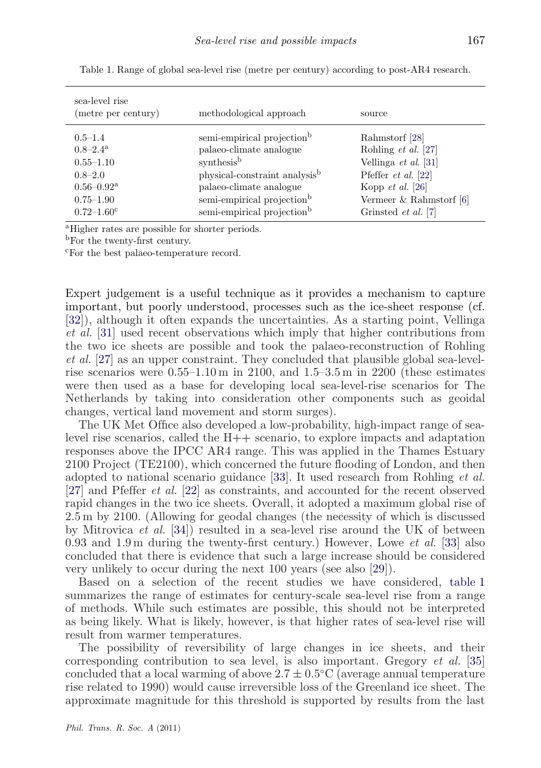| sea-level rise<br>(metre per century) | methodological approach                   | source                     |
|---------------------------------------|-------------------------------------------|----------------------------|
| $0.5 - 1.4$                           | semi-empirical projection <sup>b</sup>    | Rahmstorf [28]             |
| $0.8 - 2.4$ <sup>a</sup>              | palaeo-climate analogue                   | Rohling et al. [27]        |
| $0.55 - 1.10$                         | synthesis <sup>b</sup>                    | Vellinga et al. $[31]$     |
| $0.8 - 2.0$                           | physical-constraint analysis <sup>b</sup> | Pfeffer $et$ al. [22]      |
| $0.56 - 0.92$ <sup>a</sup>            | palaeo-climate analogue                   | Kopp $et \ al. [26]$       |
| $0.75 - 1.90$                         | semi-empirical projection <sup>b</sup>    | Vermeer $&$ Rahmstorf [6]  |
| $0.72 - 1.60^{\circ}$                 | semi-empirical projection <sup>b</sup>    | Grinsted <i>et al.</i> [7] |

<span id="page-7-0"></span>Table 1. Range of global sea-level rise (metre per century) according to post-AR4 research.

aHigher rates are possible for shorter periods.

<sup>b</sup>For the twenty-first century.

<sup>c</sup>For the best palaeo-temperature record.

Expert judgement is a useful technique as it provides a mechanism to capture important, but poorly understood, processes such as the ice-sheet response (cf. [\[32\]](#page-19-0)), although it often expands the uncertainties. As a starting point, Vellinga *et al.* [\[31\]](#page-19-0) used recent observations which imply that higher contributions from the two ice sheets are possible and took the palaeo-reconstruction of Rohling *et al.* [\[27\]](#page-19-0) as an upper constraint. They concluded that plausible global sea-levelrise scenarios were  $0.55-1.10 \text{ m}$  in 2100, and  $1.5-3.5 \text{ m}$  in 2200 (these estimates were then used as a base for developing local sea-level-rise scenarios for The Netherlands by taking into consideration other components such as geoidal changes, vertical land movement and storm surges).

The UK Met Office also developed a low-probability, high-impact range of sealevel rise scenarios, called the H++ scenario, to explore impacts and adaptation responses above the IPCC AR4 range. This was applied in the Thames Estuary 2100 Project (TE2100), which concerned the future flooding of London, and then adopted to national scenario guidance [\[33\]](#page-19-0). It used research from Rohling *et al.* [\[27\]](#page-19-0) and Pfeffer *et al.* [\[22\]](#page-19-0) as constraints, and accounted for the recent observed rapid changes in the two ice sheets. Overall, it adopted a maximum global rise of 2.5 m by 2100. (Allowing for geodal changes (the necessity of which is discussed by Mitrovica *et al.* [\[34\]](#page-19-0)) resulted in a sea-level rise around the UK of between 0.93 and 1.9 m during the twenty-first century.) However, Lowe *et al.* [\[33\]](#page-19-0) also concluded that there is evidence that such a large increase should be considered very unlikely to occur during the next 100 years (see also [\[29\]](#page-19-0)).

Based on a selection of the recent studies we have considered, table 1 summarizes the range of estimates for century-scale sea-level rise from a range of methods. While such estimates are possible, this should not be interpreted as being likely. What is likely, however, is that higher rates of sea-level rise will result from warmer temperatures.

The possibility of reversibility of large changes in ice sheets, and their corresponding contribution to sea level, is also important. Gregory *et al.* [\[35\]](#page-19-0) concluded that a local warming of above  $2.7 \pm 0.5$ °C (average annual temperature rise related to 1990) would cause irreversible loss of the Greenland ice sheet. The approximate magnitude for this threshold is supported by results from the last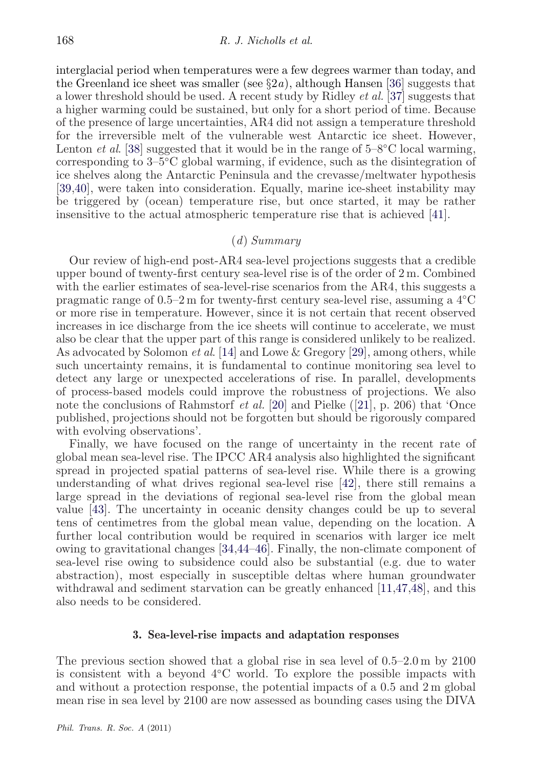interglacial period when temperatures were a few degrees warmer than today, and the Greenland ice sheet was smaller (see  $\S 2a$ ), although Hansen [\[36\]](#page-19-0) suggests that a lower threshold should be used. A recent study by Ridley *et al.* [\[37\]](#page-19-0) suggests that a higher warming could be sustained, but only for a short period of time. Because of the presence of large uncertainties, AR4 did not assign a temperature threshold for the irreversible melt of the vulnerable west Antarctic ice sheet. However, Lenton *et al.* [\[38\]](#page-19-0) suggested that it would be in the range of 5–8°C local warming, corresponding to 3–5◦C global warming, if evidence, such as the disintegration of ice shelves along the Antarctic Peninsula and the crevasse/meltwater hypothesis [\[39,40\]](#page-19-0), were taken into consideration. Equally, marine ice-sheet instability may be triggered by (ocean) temperature rise, but once started, it may be rather insensitive to the actual atmospheric temperature rise that is achieved [\[41\]](#page-19-0).

## (*d*) *Summary*

Our review of high-end post-AR4 sea-level projections suggests that a credible upper bound of twenty-first century sea-level rise is of the order of 2 m. Combined with the earlier estimates of sea-level-rise scenarios from the AR4, this suggests a pragmatic range of 0.5–2 m for twenty-first century sea-level rise, assuming a 4◦C or more rise in temperature. However, since it is not certain that recent observed increases in ice discharge from the ice sheets will continue to accelerate, we must also be clear that the upper part of this range is considered unlikely to be realized. As advocated by Solomon *et al*. [\[14\]](#page-18-0) and Lowe & Gregory [\[29\]](#page-19-0), among others, while such uncertainty remains, it is fundamental to continue monitoring sea level to detect any large or unexpected accelerations of rise. In parallel, developments of process-based models could improve the robustness of projections. We also note the conclusions of Rahmstorf *et al.* [\[20\]](#page-18-0) and Pielke ([\[21\]](#page-19-0), p. 206) that 'Once published, projections should not be forgotten but should be rigorously compared with evolving observations'.

Finally, we have focused on the range of uncertainty in the recent rate of global mean sea-level rise. The IPCC AR4 analysis also highlighted the significant spread in projected spatial patterns of sea-level rise. While there is a growing understanding of what drives regional sea-level rise [\[42\]](#page-19-0), there still remains a large spread in the deviations of regional sea-level rise from the global mean value [\[43\]](#page-20-0). The uncertainty in oceanic density changes could be up to several tens of centimetres from the global mean value, depending on the location. A further local contribution would be required in scenarios with larger ice melt owing to gravitational changes [\[34](#page-19-0)[,44–46\]](#page-20-0). Finally, the non-climate component of sea-level rise owing to subsidence could also be substantial (e.g. due to water abstraction), most especially in susceptible deltas where human groundwater withdrawal and sediment starvation can be greatly enhanced [\[11,](#page-18-0)[47,48\]](#page-20-0), and this also needs to be considered.

#### **3. Sea-level-rise impacts and adaptation responses**

The previous section showed that a global rise in sea level of 0.5–2.0 m by 2100 is consistent with a beyond 4◦C world. To explore the possible impacts with and without a protection response, the potential impacts of a 0.5 and 2 m global mean rise in sea level by 2100 are now assessed as bounding cases using the DIVA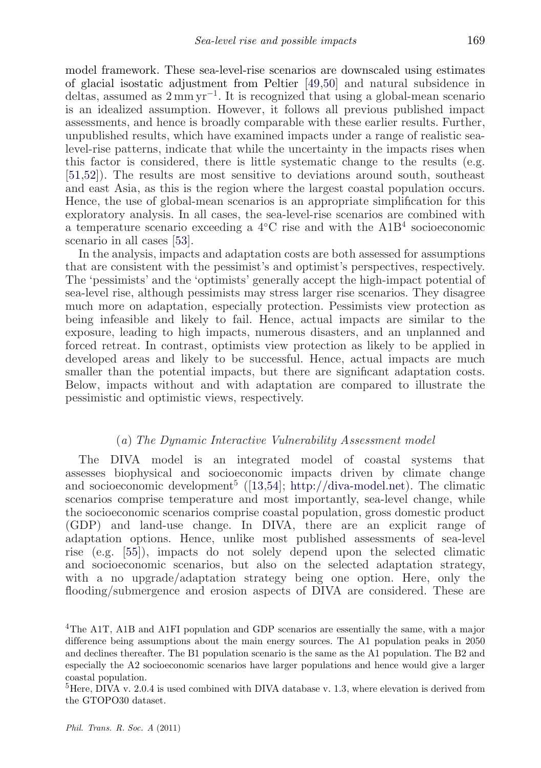model framework. These sea-level-rise scenarios are downscaled using estimates of glacial isostatic adjustment from Peltier [\[49,50\]](#page-20-0) and natural subsidence in deltas, assumed as 2 mm yr−1. It is recognized that using a global-mean scenario is an idealized assumption. However, it follows all previous published impact assessments, and hence is broadly comparable with these earlier results. Further, unpublished results, which have examined impacts under a range of realistic sealevel-rise patterns, indicate that while the uncertainty in the impacts rises when this factor is considered, there is little systematic change to the results (e.g. [\[51,52\]](#page-20-0)). The results are most sensitive to deviations around south, southeast and east Asia, as this is the region where the largest coastal population occurs. Hence, the use of global-mean scenarios is an appropriate simplification for this exploratory analysis. In all cases, the sea-level-rise scenarios are combined with a temperature scenario exceeding a 4◦C rise and with the A1B<sup>4</sup> socioeconomic scenario in all cases [\[53\]](#page-20-0).

In the analysis, impacts and adaptation costs are both assessed for assumptions that are consistent with the pessimist's and optimist's perspectives, respectively. The 'pessimists' and the 'optimists' generally accept the high-impact potential of sea-level rise, although pessimists may stress larger rise scenarios. They disagree much more on adaptation, especially protection. Pessimists view protection as being infeasible and likely to fail. Hence, actual impacts are similar to the exposure, leading to high impacts, numerous disasters, and an unplanned and forced retreat. In contrast, optimists view protection as likely to be applied in developed areas and likely to be successful. Hence, actual impacts are much smaller than the potential impacts, but there are significant adaptation costs. Below, impacts without and with adaptation are compared to illustrate the pessimistic and optimistic views, respectively.

#### (*a*) *The Dynamic Interactive Vulnerability Assessment model*

The DIVA model is an integrated model of coastal systems that assesses biophysical and socioeconomic impacts driven by climate change and socioeconomic development<sup>5</sup> ([\[13](#page-18-0)[,54\]](#page-20-0); [http://diva-model.net\)](http://diva-model.net). The climatic scenarios comprise temperature and most importantly, sea-level change, while the socioeconomic scenarios comprise coastal population, gross domestic product (GDP) and land-use change. In DIVA, there are an explicit range of adaptation options. Hence, unlike most published assessments of sea-level rise (e.g. [\[55\]](#page-20-0)), impacts do not solely depend upon the selected climatic and socioeconomic scenarios, but also on the selected adaptation strategy, with a no upgrade/adaptation strategy being one option. Here, only the flooding/submergence and erosion aspects of DIVA are considered. These are

<sup>4</sup>The A1T, A1B and A1FI population and GDP scenarios are essentially the same, with a major difference being assumptions about the main energy sources. The A1 population peaks in 2050 and declines thereafter. The B1 population scenario is the same as the A1 population. The B2 and especially the A2 socioeconomic scenarios have larger populations and hence would give a larger coastal population.

 ${}^{5}$ Here, DIVA v. 2.0.4 is used combined with DIVA database v. 1.3, where elevation is derived from the GTOPO30 dataset.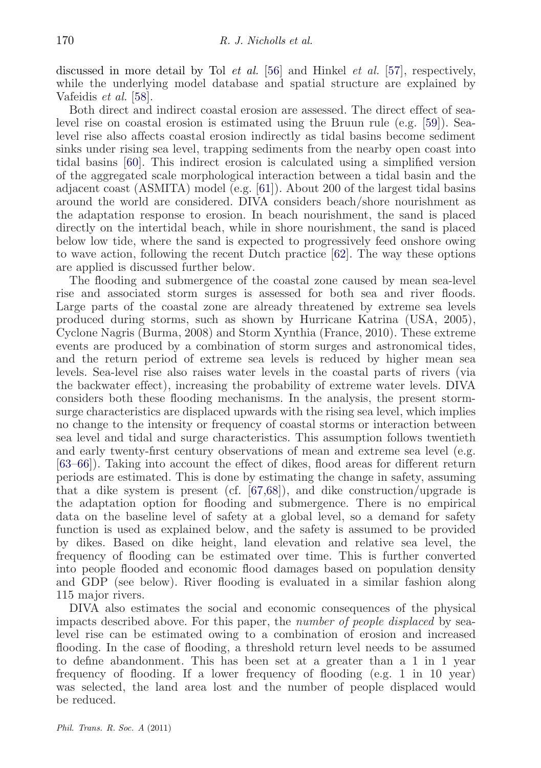discussed in more detail by Tol *et al.* [\[56\]](#page-20-0) and Hinkel *et al.* [\[57\]](#page-20-0), respectively, while the underlying model database and spatial structure are explained by Vafeidis *et al.* [\[58\]](#page-20-0).

Both direct and indirect coastal erosion are assessed. The direct effect of sealevel rise on coastal erosion is estimated using the Bruun rule (e.g. [\[59\]](#page-20-0)). Sealevel rise also affects coastal erosion indirectly as tidal basins become sediment sinks under rising sea level, trapping sediments from the nearby open coast into tidal basins [\[60\]](#page-20-0). This indirect erosion is calculated using a simplified version of the aggregated scale morphological interaction between a tidal basin and the adjacent coast (ASMITA) model (e.g. [\[61\]](#page-20-0)). About 200 of the largest tidal basins around the world are considered. DIVA considers beach/shore nourishment as the adaptation response to erosion. In beach nourishment, the sand is placed directly on the intertidal beach, while in shore nourishment, the sand is placed below low tide, where the sand is expected to progressively feed onshore owing to wave action, following the recent Dutch practice [\[62\]](#page-20-0). The way these options are applied is discussed further below.

The flooding and submergence of the coastal zone caused by mean sea-level rise and associated storm surges is assessed for both sea and river floods. Large parts of the coastal zone are already threatened by extreme sea levels produced during storms, such as shown by Hurricane Katrina (USA, 2005), Cyclone Nagris (Burma, 2008) and Storm Xynthia (France, 2010). These extreme events are produced by a combination of storm surges and astronomical tides, and the return period of extreme sea levels is reduced by higher mean sea levels. Sea-level rise also raises water levels in the coastal parts of rivers (via the backwater effect), increasing the probability of extreme water levels. DIVA considers both these flooding mechanisms. In the analysis, the present stormsurge characteristics are displaced upwards with the rising sea level, which implies no change to the intensity or frequency of coastal storms or interaction between sea level and tidal and surge characteristics. This assumption follows twentieth and early twenty-first century observations of mean and extreme sea level (e.g. [\[63–](#page-20-0)[66\]](#page-21-0)). Taking into account the effect of dikes, flood areas for different return periods are estimated. This is done by estimating the change in safety, assuming that a dike system is present (cf. [\[67,68\]](#page-21-0)), and dike construction/upgrade is the adaptation option for flooding and submergence. There is no empirical data on the baseline level of safety at a global level, so a demand for safety function is used as explained below, and the safety is assumed to be provided by dikes. Based on dike height, land elevation and relative sea level, the frequency of flooding can be estimated over time. This is further converted into people flooded and economic flood damages based on population density and GDP (see below). River flooding is evaluated in a similar fashion along 115 major rivers.

DIVA also estimates the social and economic consequences of the physical impacts described above. For this paper, the *number of people displaced* by sealevel rise can be estimated owing to a combination of erosion and increased flooding. In the case of flooding, a threshold return level needs to be assumed to define abandonment. This has been set at a greater than a 1 in 1 year frequency of flooding. If a lower frequency of flooding (e.g. 1 in 10 year) was selected, the land area lost and the number of people displaced would be reduced.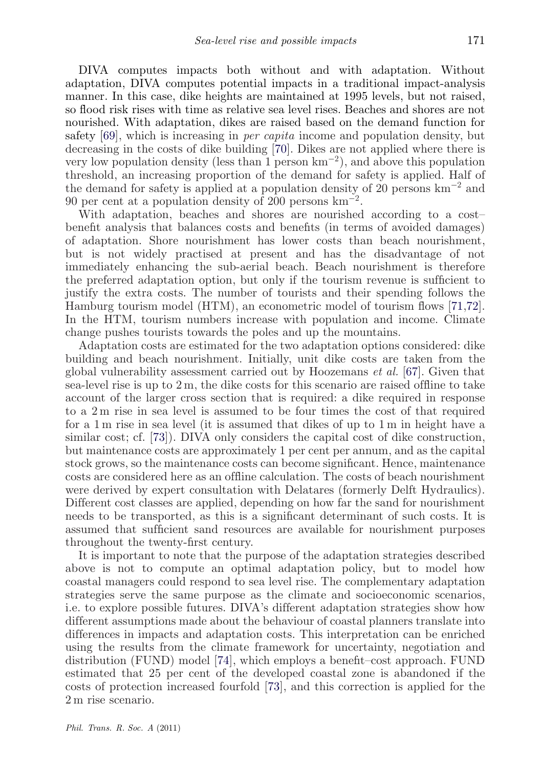DIVA computes impacts both without and with adaptation. Without adaptation, DIVA computes potential impacts in a traditional impact-analysis manner. In this case, dike heights are maintained at 1995 levels, but not raised, so flood risk rises with time as relative sea level rises. Beaches and shores are not nourished. With adaptation, dikes are raised based on the demand function for safety [\[69\]](#page-21-0), which is increasing in *per capita* income and population density, but decreasing in the costs of dike building [\[70\]](#page-21-0). Dikes are not applied where there is very low population density (less than 1 person  $km^{-2}$ ), and above this population threshold, an increasing proportion of the demand for safety is applied. Half of the demand for safety is applied at a population density of 20 persons  $km^{-2}$  and 90 per cent at a population density of 200 persons  $\text{km}^{-2}$ .

With adaptation, beaches and shores are nourished according to a costbenefit analysis that balances costs and benefits (in terms of avoided damages) of adaptation. Shore nourishment has lower costs than beach nourishment, but is not widely practised at present and has the disadvantage of not immediately enhancing the sub-aerial beach. Beach nourishment is therefore the preferred adaptation option, but only if the tourism revenue is sufficient to justify the extra costs. The number of tourists and their spending follows the Hamburg tourism model (HTM), an econometric model of tourism flows [\[71,72\]](#page-21-0). In the HTM, tourism numbers increase with population and income. Climate change pushes tourists towards the poles and up the mountains.

Adaptation costs are estimated for the two adaptation options considered: dike building and beach nourishment. Initially, unit dike costs are taken from the global vulnerability assessment carried out by Hoozemans *et al.* [\[67\]](#page-21-0). Given that sea-level rise is up to  $2 \text{ m}$ , the dike costs for this scenario are raised offline to take account of the larger cross section that is required: a dike required in response to a 2 m rise in sea level is assumed to be four times the cost of that required for a 1 m rise in sea level (it is assumed that dikes of up to 1 m in height have a similar cost; cf. [\[73\]](#page-21-0)). DIVA only considers the capital cost of dike construction, but maintenance costs are approximately 1 per cent per annum, and as the capital stock grows, so the maintenance costs can become significant. Hence, maintenance costs are considered here as an offline calculation. The costs of beach nourishment were derived by expert consultation with Delatares (formerly Delft Hydraulics). Different cost classes are applied, depending on how far the sand for nourishment needs to be transported, as this is a significant determinant of such costs. It is assumed that sufficient sand resources are available for nourishment purposes throughout the twenty-first century.

It is important to note that the purpose of the adaptation strategies described above is not to compute an optimal adaptation policy, but to model how coastal managers could respond to sea level rise. The complementary adaptation strategies serve the same purpose as the climate and socioeconomic scenarios, i.e. to explore possible futures. DIVA's different adaptation strategies show how different assumptions made about the behaviour of coastal planners translate into differences in impacts and adaptation costs. This interpretation can be enriched using the results from the climate framework for uncertainty, negotiation and distribution (FUND) model [\[74\]](#page-21-0), which employs a benefit–cost approach. FUND estimated that 25 per cent of the developed coastal zone is abandoned if the costs of protection increased fourfold [\[73\]](#page-21-0), and this correction is applied for the 2 m rise scenario.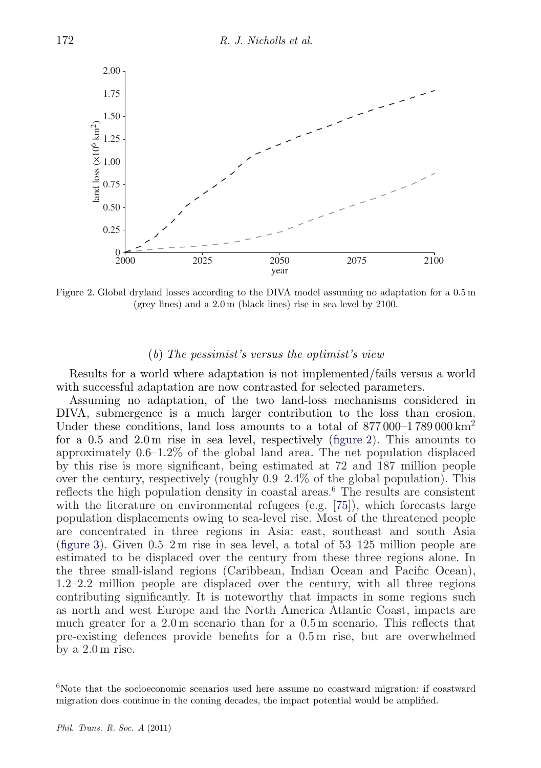

Figure 2. Global dryland losses according to the DIVA model assuming no adaptation for a 0.5 m (grey lines) and a 2.0 m (black lines) rise in sea level by 2100.

#### (*b*) *The pessimist's versus the optimist's view*

Results for a world where adaptation is not implemented/fails versus a world with successful adaptation are now contrasted for selected parameters.

Assuming no adaptation, of the two land-loss mechanisms considered in DIVA, submergence is a much larger contribution to the loss than erosion. Under these conditions, land loss amounts to a total of  $877\,000-1789\,000 \,\mathrm{km}^2$ for a 0.5 and 2.0 m rise in sea level, respectively (figure 2). This amounts to approximately 0.6–1.2% of the global land area. The net population displaced by this rise is more significant, being estimated at 72 and 187 million people over the century, respectively (roughly 0.9–2.4% of the global population). This reflects the high population density in coastal areas.<sup>6</sup> The results are consistent with the literature on environmental refugees (e.g. [\[75\]](#page-21-0)), which forecasts large population displacements owing to sea-level rise. Most of the threatened people are concentrated in three regions in Asia: east, southeast and south Asia [\(figure 3\)](#page-13-0). Given 0.5–2 m rise in sea level, a total of 53–125 million people are estimated to be displaced over the century from these three regions alone. In the three small-island regions (Caribbean, Indian Ocean and Pacific Ocean), 1.2–2.2 million people are displaced over the century, with all three regions contributing significantly. It is noteworthy that impacts in some regions such as north and west Europe and the North America Atlantic Coast, impacts are much greater for a 2.0 m scenario than for a 0.5 m scenario. This reflects that pre-existing defences provide benefits for a 0.5 m rise, but are overwhelmed by a 2.0 m rise.

 $6$ Note that the socioeconomic scenarios used here assume no coastward migration: if coastward migration does continue in the coming decades, the impact potential would be amplified.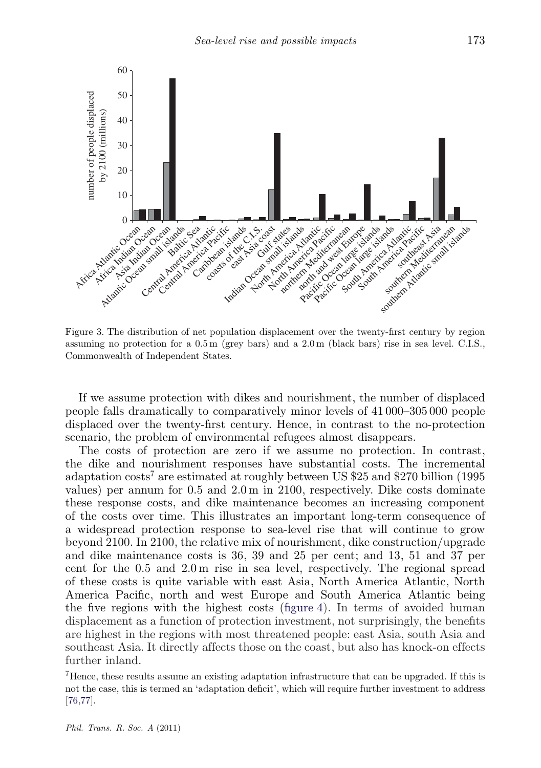<span id="page-13-0"></span>

Figure 3. The distribution of net population displacement over the twenty-first century by region assuming no protection for a 0.5 m (grey bars) and a 2.0 m (black bars) rise in sea level. C.I.S., Commonwealth of Independent States.

If we assume protection with dikes and nourishment, the number of displaced people falls dramatically to comparatively minor levels of 41 000–305 000 people displaced over the twenty-first century. Hence, in contrast to the no-protection scenario, the problem of environmental refugees almost disappears.

The costs of protection are zero if we assume no protection. In contrast, the dike and nourishment responses have substantial costs. The incremental adaptation costs<sup>7</sup> are estimated at roughly between US \$25 and \$270 billion (1995 values) per annum for 0.5 and 2.0 m in 2100, respectively. Dike costs dominate these response costs, and dike maintenance becomes an increasing component of the costs over time. This illustrates an important long-term consequence of a widespread protection response to sea-level rise that will continue to grow beyond 2100. In 2100, the relative mix of nourishment, dike construction/upgrade and dike maintenance costs is 36, 39 and 25 per cent; and 13, 51 and 37 per cent for the 0.5 and 2.0 m rise in sea level, respectively. The regional spread of these costs is quite variable with east Asia, North America Atlantic, North America Pacific, north and west Europe and South America Atlantic being the five regions with the highest costs [\(figure 4\)](#page-14-0). In terms of avoided human displacement as a function of protection investment, not surprisingly, the benefits are highest in the regions with most threatened people: east Asia, south Asia and southeast Asia. It directly affects those on the coast, but also has knock-on effects further inland.

<sup>7</sup>Hence, these results assume an existing adaptation infrastructure that can be upgraded. If this is not the case, this is termed an 'adaptation deficit', which will require further investment to address [\[76,77\]](#page-21-0).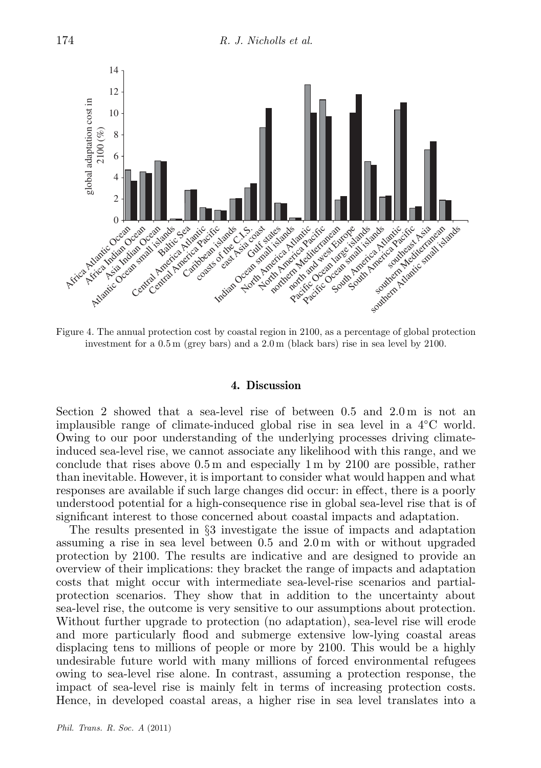<span id="page-14-0"></span>

Figure 4. The annual protection cost by coastal region in 2100, as a percentage of global protection investment for a 0.5 m (grey bars) and a 2.0 m (black bars) rise in sea level by 2100.

### **4. Discussion**

Section 2 showed that a sea-level rise of between 0.5 and 2.0 m is not an implausible range of climate-induced global rise in sea level in a 4◦C world. Owing to our poor understanding of the underlying processes driving climateinduced sea-level rise, we cannot associate any likelihood with this range, and we conclude that rises above 0.5 m and especially 1 m by 2100 are possible, rather than inevitable. However, it is important to consider what would happen and what responses are available if such large changes did occur: in effect, there is a poorly understood potential for a high-consequence rise in global sea-level rise that is of significant interest to those concerned about coastal impacts and adaptation.

The results presented in §3 investigate the issue of impacts and adaptation assuming a rise in sea level between 0.5 and 2.0 m with or without upgraded protection by 2100. The results are indicative and are designed to provide an overview of their implications: they bracket the range of impacts and adaptation costs that might occur with intermediate sea-level-rise scenarios and partialprotection scenarios. They show that in addition to the uncertainty about sea-level rise, the outcome is very sensitive to our assumptions about protection. Without further upgrade to protection (no adaptation), sea-level rise will erode and more particularly flood and submerge extensive low-lying coastal areas displacing tens to millions of people or more by 2100. This would be a highly undesirable future world with many millions of forced environmental refugees owing to sea-level rise alone. In contrast, assuming a protection response, the impact of sea-level rise is mainly felt in terms of increasing protection costs. Hence, in developed coastal areas, a higher rise in sea level translates into a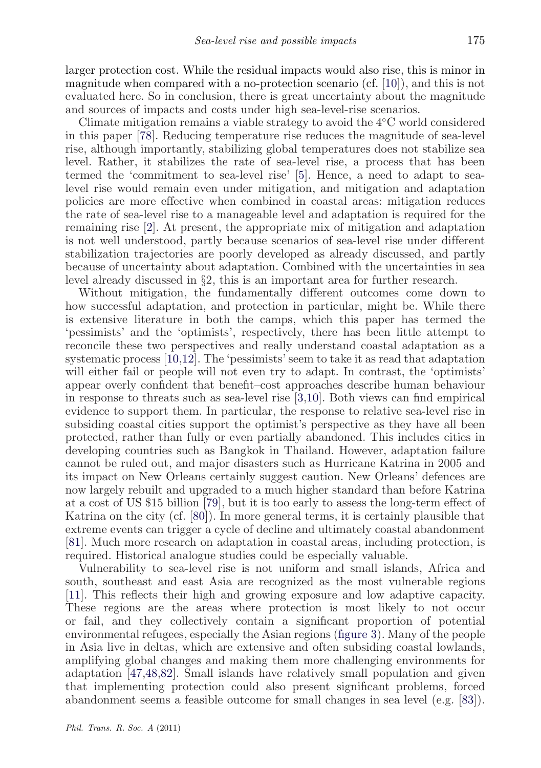larger protection cost. While the residual impacts would also rise, this is minor in magnitude when compared with a no-protection scenario (cf. [\[10\]](#page-18-0)), and this is not evaluated here. So in conclusion, there is great uncertainty about the magnitude and sources of impacts and costs under high sea-level-rise scenarios.

Climate mitigation remains a viable strategy to avoid the 4◦C world considered in this paper [\[78\]](#page-21-0). Reducing temperature rise reduces the magnitude of sea-level rise, although importantly, stabilizing global temperatures does not stabilize sea level. Rather, it stabilizes the rate of sea-level rise, a process that has been termed the 'commitment to sea-level rise' [\[5\]](#page-18-0). Hence, a need to adapt to sealevel rise would remain even under mitigation, and mitigation and adaptation policies are more effective when combined in coastal areas: mitigation reduces the rate of sea-level rise to a manageable level and adaptation is required for the remaining rise [\[2\]](#page-17-0). At present, the appropriate mix of mitigation and adaptation is not well understood, partly because scenarios of sea-level rise under different stabilization trajectories are poorly developed as already discussed, and partly because of uncertainty about adaptation. Combined with the uncertainties in sea level already discussed in §2, this is an important area for further research.

Without mitigation, the fundamentally different outcomes come down to how successful adaptation, and protection in particular, might be. While there is extensive literature in both the camps, which this paper has termed the 'pessimists' and the 'optimists', respectively, there has been little attempt to reconcile these two perspectives and really understand coastal adaptation as a systematic process [\[10,12\]](#page-18-0). The 'pessimists' seem to take it as read that adaptation will either fail or people will not even try to adapt. In contrast, the 'optimists' appear overly confident that benefit–cost approaches describe human behaviour in response to threats such as sea-level rise [\[3,](#page-17-0)[10\]](#page-18-0). Both views can find empirical evidence to support them. In particular, the response to relative sea-level rise in subsiding coastal cities support the optimist's perspective as they have all been protected, rather than fully or even partially abandoned. This includes cities in developing countries such as Bangkok in Thailand. However, adaptation failure cannot be ruled out, and major disasters such as Hurricane Katrina in 2005 and its impact on New Orleans certainly suggest caution. New Orleans' defences are now largely rebuilt and upgraded to a much higher standard than before Katrina at a cost of US \$15 billion [\[79\]](#page-21-0), but it is too early to assess the long-term effect of Katrina on the city (cf. [\[80\]](#page-21-0)). In more general terms, it is certainly plausible that extreme events can trigger a cycle of decline and ultimately coastal abandonment [\[81\]](#page-21-0). Much more research on adaptation in coastal areas, including protection, is required. Historical analogue studies could be especially valuable.

Vulnerability to sea-level rise is not uniform and small islands, Africa and south, southeast and east Asia are recognized as the most vulnerable regions [\[11\]](#page-18-0). This reflects their high and growing exposure and low adaptive capacity. These regions are the areas where protection is most likely to not occur or fail, and they collectively contain a significant proportion of potential environmental refugees, especially the Asian regions [\(figure 3\)](#page-13-0). Many of the people in Asia live in deltas, which are extensive and often subsiding coastal lowlands, amplifying global changes and making them more challenging environments for adaptation [\[47,48,](#page-20-0)[82\]](#page-21-0). Small islands have relatively small population and given that implementing protection could also present significant problems, forced abandonment seems a feasible outcome for small changes in sea level (e.g. [\[83\]](#page-21-0)).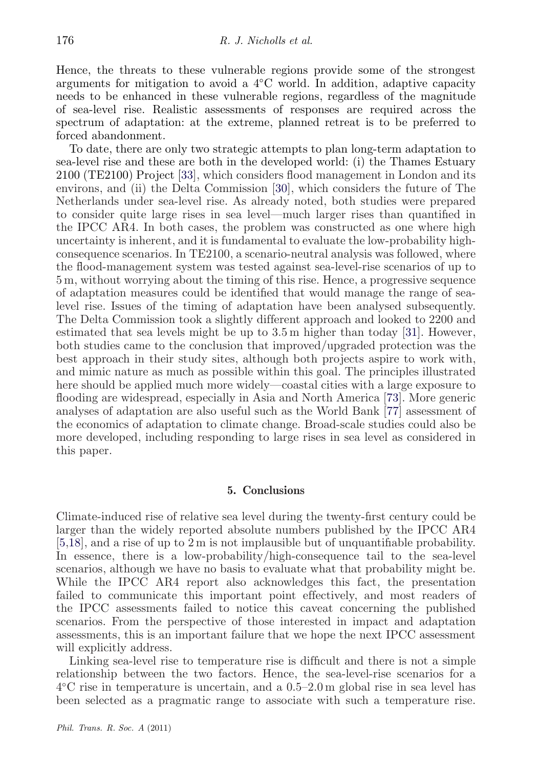Hence, the threats to these vulnerable regions provide some of the strongest arguments for mitigation to avoid a 4◦C world. In addition, adaptive capacity needs to be enhanced in these vulnerable regions, regardless of the magnitude of sea-level rise. Realistic assessments of responses are required across the spectrum of adaptation: at the extreme, planned retreat is to be preferred to forced abandonment.

To date, there are only two strategic attempts to plan long-term adaptation to sea-level rise and these are both in the developed world: (i) the Thames Estuary 2100 (TE2100) Project [\[33\]](#page-19-0), which considers flood management in London and its environs, and (ii) the Delta Commission [\[30\]](#page-19-0), which considers the future of The Netherlands under sea-level rise. As already noted, both studies were prepared to consider quite large rises in sea level—much larger rises than quantified in the IPCC AR4. In both cases, the problem was constructed as one where high uncertainty is inherent, and it is fundamental to evaluate the low-probability highconsequence scenarios. In TE2100, a scenario-neutral analysis was followed, where the flood-management system was tested against sea-level-rise scenarios of up to 5 m, without worrying about the timing of this rise. Hence, a progressive sequence of adaptation measures could be identified that would manage the range of sealevel rise. Issues of the timing of adaptation have been analysed subsequently. The Delta Commission took a slightly different approach and looked to 2200 and estimated that sea levels might be up to  $3.5 \text{ m}$  higher than today [\[31\]](#page-19-0). However, both studies came to the conclusion that improved/upgraded protection was the best approach in their study sites, although both projects aspire to work with, and mimic nature as much as possible within this goal. The principles illustrated here should be applied much more widely—coastal cities with a large exposure to flooding are widespread, especially in Asia and North America [\[73\]](#page-21-0). More generic analyses of adaptation are also useful such as the World Bank [\[77\]](#page-21-0) assessment of the economics of adaptation to climate change. Broad-scale studies could also be more developed, including responding to large rises in sea level as considered in this paper.

## **5. Conclusions**

Climate-induced rise of relative sea level during the twenty-first century could be larger than the widely reported absolute numbers published by the IPCC AR4 [\[5,18\]](#page-18-0), and a rise of up to 2 m is not implausible but of unquantifiable probability. In essence, there is a low-probability/high-consequence tail to the sea-level scenarios, although we have no basis to evaluate what that probability might be. While the IPCC AR4 report also acknowledges this fact, the presentation failed to communicate this important point effectively, and most readers of the IPCC assessments failed to notice this caveat concerning the published scenarios. From the perspective of those interested in impact and adaptation assessments, this is an important failure that we hope the next IPCC assessment will explicitly address.

Linking sea-level rise to temperature rise is difficult and there is not a simple relationship between the two factors. Hence, the sea-level-rise scenarios for a 4◦C rise in temperature is uncertain, and a 0.5–2.0 m global rise in sea level has been selected as a pragmatic range to associate with such a temperature rise.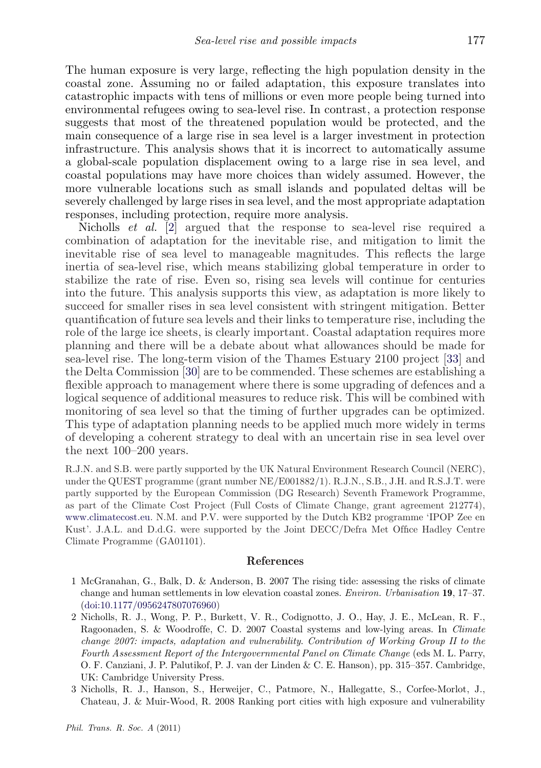<span id="page-17-0"></span>The human exposure is very large, reflecting the high population density in the coastal zone. Assuming no or failed adaptation, this exposure translates into catastrophic impacts with tens of millions or even more people being turned into environmental refugees owing to sea-level rise. In contrast, a protection response suggests that most of the threatened population would be protected, and the main consequence of a large rise in sea level is a larger investment in protection infrastructure. This analysis shows that it is incorrect to automatically assume a global-scale population displacement owing to a large rise in sea level, and coastal populations may have more choices than widely assumed. However, the more vulnerable locations such as small islands and populated deltas will be severely challenged by large rises in sea level, and the most appropriate adaptation responses, including protection, require more analysis.

Nicholls *et al.* [2] argued that the response to sea-level rise required a combination of adaptation for the inevitable rise, and mitigation to limit the inevitable rise of sea level to manageable magnitudes. This reflects the large inertia of sea-level rise, which means stabilizing global temperature in order to stabilize the rate of rise. Even so, rising sea levels will continue for centuries into the future. This analysis supports this view, as adaptation is more likely to succeed for smaller rises in sea level consistent with stringent mitigation. Better quantification of future sea levels and their links to temperature rise, including the role of the large ice sheets, is clearly important. Coastal adaptation requires more planning and there will be a debate about what allowances should be made for sea-level rise. The long-term vision of the Thames Estuary 2100 project [\[33\]](#page-19-0) and the Delta Commission [\[30\]](#page-19-0) are to be commended. These schemes are establishing a flexible approach to management where there is some upgrading of defences and a logical sequence of additional measures to reduce risk. This will be combined with monitoring of sea level so that the timing of further upgrades can be optimized. This type of adaptation planning needs to be applied much more widely in terms of developing a coherent strategy to deal with an uncertain rise in sea level over the next 100–200 years.

R.J.N. and S.B. were partly supported by the UK Natural Environment Research Council (NERC), under the QUEST programme (grant number NE/E001882/1). R.J.N., S.B., J.H. and R.S.J.T. were partly supported by the European Commission (DG Research) Seventh Framework Programme, as part of the Climate Cost Project (Full Costs of Climate Change, grant agreement 212774), [www.climatecost.eu.](http://www.climatecost.eu) N.M. and P.V. were supported by the Dutch KB2 programme 'IPOP Zee en Kust'. J.A.L. and D.d.G. were supported by the Joint DECC/Defra Met Office Hadley Centre Climate Programme (GA01101).

#### **References**

- 1 McGranahan, G., Balk, D. & Anderson, B. 2007 The rising tide: assessing the risks of climate change and human settlements in low elevation coastal zones. *Environ. Urbanisation* **19**, 17–37. [\(doi:10.1177/0956247807076960\)](http://dx.doi.org/10.1177/0956247807076960)
- 2 Nicholls, R. J., Wong, P. P., Burkett, V. R., Codignotto, J. O., Hay, J. E., McLean, R. F., Ragoonaden, S. & Woodroffe, C. D. 2007 Coastal systems and low-lying areas. In *Climate change 2007: impacts, adaptation and vulnerability*. *Contribution of Working Group II to the Fourth Assessment Report of the Intergovernmental Panel on Climate Change* (eds M. L. Parry, O. F. Canziani, J. P. Palutikof, P. J. van der Linden & C. E. Hanson), pp. 315–357. Cambridge, UK: Cambridge University Press.
- 3 Nicholls, R. J., Hanson, S., Herweijer, C., Patmore, N., Hallegatte, S., Corfee-Morlot, J., Chateau, J. & Muir-Wood, R. 2008 Ranking port cities with high exposure and vulnerability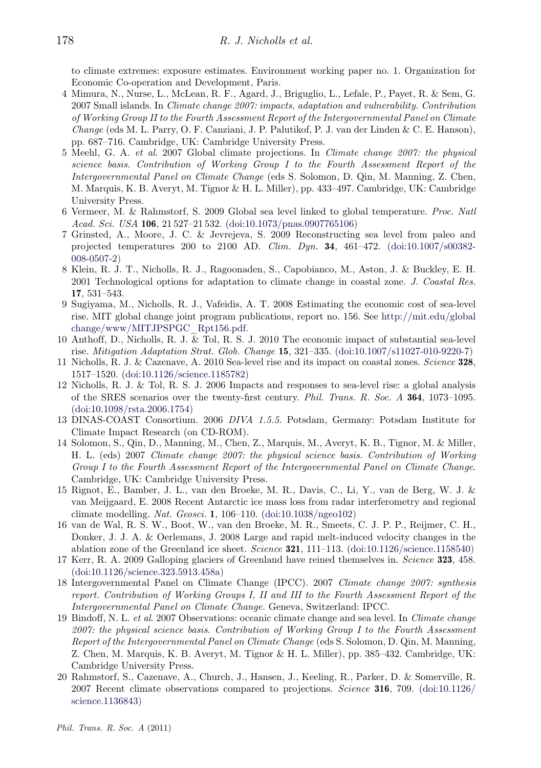<span id="page-18-0"></span>to climate extremes: exposure estimates. Environment working paper no. 1. Organization for Economic Co-operation and Development, Paris.

- 4 Mimura, N., Nurse, L., McLean, R. F., Agard, J., Briguglio, L., Lefale, P., Payet, R. & Sem, G. 2007 Small islands. In *Climate change 2007: impacts, adaptation and vulnerability. Contribution of Working Group II to the Fourth Assessment Report of the Intergovernmental Panel on Climate Change* (eds M. L. Parry, O. F. Canziani, J. P. Palutikof, P. J. van der Linden & C. E. Hanson), pp. 687–716. Cambridge, UK: Cambridge University Press.
- 5 Meehl, G. A. *et al*. 2007 Global climate projections. In *Climate change 2007: the physical science basis. Contribution of Working Group I to the Fourth Assessment Report of the Intergovernmental Panel on Climate Change* (eds S. Solomon, D. Qin, M. Manning, Z. Chen, M. Marquis, K. B. Averyt, M. Tignor & H. L. Miller), pp. 433–497. Cambridge, UK: Cambridge University Press.
- 6 Vermeer, M. & Rahmstorf, S. 2009 Global sea level linked to global temperature. *Proc. Natl Acad. Sci. USA* **106**, 21 527–21 532. [\(doi:10.1073/pnas.0907765106\)](http://dx.doi.org/10.1073/pnas.0907765106)
- 7 Grinsted, A., Moore, J. C. & Jevrejeva, S. 2009 Reconstructing sea level from paleo and projected temperatures 200 to 2100 AD. *Clim. Dyn.* **34**, 461–472. [\(doi:10.1007/s00382-](http://dx.doi.org/10.1007/s00382-008-0507-2) [008-0507-2\)](http://dx.doi.org/10.1007/s00382-008-0507-2)
- 8 Klein, R. J. T., Nicholls, R. J., Ragoonaden, S., Capobianco, M., Aston, J. & Buckley, E. H. 2001 Technological options for adaptation to climate change in coastal zone. *J. Coastal Res.* **17**, 531–543.
- 9 Sugiyama, M., Nicholls, R. J., Vafeidis, A. T. 2008 Estimating the economic cost of sea-level rise. MIT global change joint program publications, report no. 156. See [http://mit.edu/global](http://mit.edu/globalchange/www/MITJPSPGC_Rpt156.pdf) [change/www/MITJPSPGC\\_Rpt156.pdf.](http://mit.edu/globalchange/www/MITJPSPGC_Rpt156.pdf)
- 10 Anthoff, D., Nicholls, R. J. & Tol, R. S. J. 2010 The economic impact of substantial sea-level rise. *Mitigation Adaptation Strat. Glob. Change* **15**, 321–335. [\(doi:10.1007/s11027-010-9220-7\)](http://dx.doi.org/10.1007/s11027-010-9220-7)
- 11 Nicholls, R. J. & Cazenave, A. 2010 Sea-level rise and its impact on coastal zones. *Science* **328**, 1517–1520. [\(doi:10.1126/science.1185782\)](http://dx.doi.org/10.1126/science.1185782)
- 12 Nicholls, R. J. & Tol, R. S. J. 2006 Impacts and responses to sea-level rise: a global analysis of the SRES scenarios over the twenty-first century. *Phil. Trans. R. Soc. A* **364**, 1073–1095. [\(doi:10.1098/rsta.2006.1754\)](http://dx.doi.org/10.1098/rsta.2006.1754)
- 13 DINAS-COAST Consortium. 2006 *DIVA 1.5.5.* Potsdam, Germany: Potsdam Institute for Climate Impact Research (on CD-ROM).
- 14 Solomon, S., Qin, D., Manning, M., Chen, Z., Marquis, M., Averyt, K. B., Tignor, M. & Miller, H. L. (eds) 2007 *Climate change 2007: the physical science basis. Contribution of Working Group I to the Fourth Assessment Report of the Intergovernmental Panel on Climate Change*. Cambridge, UK: Cambridge University Press.
- 15 Rignot, E., Bamber, J. L., van den Broeke, M. R., Davis, C., Li, Y., van de Berg, W. J. & van Meijgaard, E. 2008 Recent Antarctic ice mass loss from radar interferometry and regional climate modelling. *Nat. Geosci.* **1**, 106–110. [\(doi:10.1038/ngeo102\)](http://dx.doi.org/10.1038/ngeo102)
- 16 van de Wal, R. S. W., Boot, W., van den Broeke, M. R., Smeets, C. J. P. P., Reijmer, C. H., Donker, J. J. A. & Oerlemans, J. 2008 Large and rapid melt-induced velocity changes in the ablation zone of the Greenland ice sheet. *Science* **321**, 111–113. [\(doi:10.1126/science.1158540\)](http://dx.doi.org/10.1126/science.1158540)
- 17 Kerr, R. A. 2009 Galloping glaciers of Greenland have reined themselves in. *Science* **323**, 458. [\(doi:10.1126/science.323.5913.458a\)](http://dx.doi.org/10.1126/science.323.5913.458a)
- 18 Intergovernmental Panel on Climate Change (IPCC). 2007 *Climate change 2007: synthesis report. Contribution of Working Groups I, II and III to the Fourth Assessment Report of the Intergovernmental Panel on Climate Change.* Geneva, Switzerland: IPCC.
- 19 Bindoff, N. L. *et al*. 2007 Observations: oceanic climate change and sea level. In *Climate change 2007: the physical science basis. Contribution of Working Group I to the Fourth Assessment Report of the Intergovernmental Panel on Climate Change* (eds S. Solomon, D. Qin, M. Manning, Z. Chen, M. Marquis, K. B. Averyt, M. Tignor & H. L. Miller), pp. 385–432. Cambridge, UK: Cambridge University Press.
- 20 Rahmstorf, S., Cazenave, A., Church, J., Hansen, J., Keeling, R., Parker, D. & Somerville, R. 2007 Recent climate observations compared to projections. *Science* **316**, 709. [\(doi:10.1126/](http://dx.doi.org/10.1126/science.1136843) [science.1136843\)](http://dx.doi.org/10.1126/science.1136843)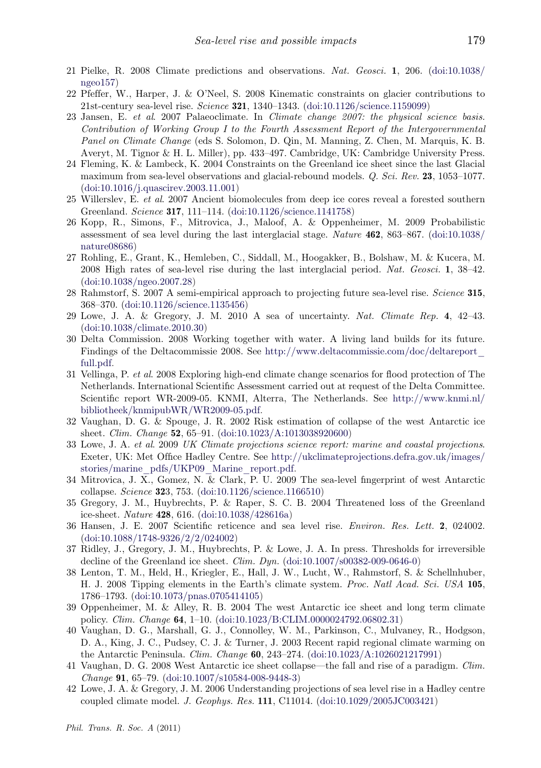- <span id="page-19-0"></span>21 Pielke, R. 2008 Climate predictions and observations. *Nat. Geosci.* **1**, 206. [\(doi:10.1038/](http://dx.doi.org/10.1038/ngeo157) [ngeo157\)](http://dx.doi.org/10.1038/ngeo157)
- 22 Pfeffer, W., Harper, J. & O'Neel, S. 2008 Kinematic constraints on glacier contributions to 21st-century sea-level rise. *Science* **321**, 1340–1343. [\(doi:10.1126/science.1159099\)](http://dx.doi.org/10.1126/science.1159099)
- 23 Jansen, E. *et al*. 2007 Palaeoclimate. In *Climate change 2007: the physical science basis. Contribution of Working Group I to the Fourth Assessment Report of the Intergovernmental Panel on Climate Change* (eds S. Solomon, D. Qin, M. Manning, Z. Chen, M. Marquis, K. B. Averyt, M. Tignor & H. L. Miller), pp. 433–497. Cambridge, UK: Cambridge University Press.
- 24 Fleming, K. & Lambeck, K. 2004 Constraints on the Greenland ice sheet since the last Glacial maximum from sea-level observations and glacial-rebound models. *Q. Sci. Rev.* **23**, 1053–1077. [\(doi:10.1016/j.quascirev.2003.11.001\)](http://dx.doi.org/10.1016/j.quascirev.2003.11.001)
- 25 Willerslev, E. *et al*. 2007 Ancient biomolecules from deep ice cores reveal a forested southern Greenland. *Science* **317**, 111–114. [\(doi:10.1126/science.1141758\)](http://dx.doi.org/10.1126/science.1141758)
- 26 Kopp, R., Simons, F., Mitrovica, J., Maloof, A. & Oppenheimer, M. 2009 Probabilistic assessment of sea level during the last interglacial stage. *Nature* **462**, 863–867. [\(doi:10.1038/](http://dx.doi.org/10.1038/nature08686) [nature08686\)](http://dx.doi.org/10.1038/nature08686)
- 27 Rohling, E., Grant, K., Hemleben, C., Siddall, M., Hoogakker, B., Bolshaw, M. & Kucera, M. 2008 High rates of sea-level rise during the last interglacial period. *Nat. Geosci.* **1**, 38–42. [\(doi:10.1038/ngeo.2007.28\)](http://dx.doi.org/10.1038/ngeo.2007.28)
- 28 Rahmstorf, S. 2007 A semi-empirical approach to projecting future sea-level rise. *Science* **315**, 368–370. [\(doi:10.1126/science.1135456\)](http://dx.doi.org/10.1126/science.1135456)
- 29 Lowe, J. A. & Gregory, J. M. 2010 A sea of uncertainty. *Nat. Climate Rep.* **4**, 42–43. [\(doi:10.1038/climate.2010.30\)](http://dx.doi.org/10.1038/climate.2010.30)
- 30 Delta Commission. 2008 Working together with water. A living land builds for its future. Findings of the Deltacommissie 2008. See [http://www.deltacommissie.com/doc/deltareport\\_](http://www.deltacommissie.com/doc/deltareport_full.pdf) [full.pdf.](http://www.deltacommissie.com/doc/deltareport_full.pdf)
- 31 Vellinga, P. *et al*. 2008 Exploring high-end climate change scenarios for flood protection of The Netherlands. International Scientific Assessment carried out at request of the Delta Committee. Scientific report WR-2009-05. KNMI, Alterra, The Netherlands. See [http://www.knmi.nl/](http://www.knmi.nl/bibliotheek/knmipubWR/WR2009-05.pdf) [bibliotheek/knmipubWR/WR2009-05.pdf.](http://www.knmi.nl/bibliotheek/knmipubWR/WR2009-05.pdf)
- 32 Vaughan, D. G. & Spouge, J. R. 2002 Risk estimation of collapse of the west Antarctic ice sheet. *Clim. Change* **52**, 65–91. [\(doi:10.1023/A:1013038920600\)](http://dx.doi.org/10.1023/A:1013038920600)
- 33 Lowe, J. A. *et al*. 2009 *UK Climate projections science report: marine and coastal projections*. Exeter, UK: Met Office Hadley Centre. See [http://ukclimateprojections.defra.gov.uk/images/](http://ukclimateprojections.defra.gov.uk/images/stories/marine_pdfs/UKP09_Marine_report.pdf) [stories/marine\\_pdfs/UKP09\\_Marine\\_report.pdf.](http://ukclimateprojections.defra.gov.uk/images/stories/marine_pdfs/UKP09_Marine_report.pdf)
- 34 Mitrovica, J. X., Gomez, N. & Clark, P. U. 2009 The sea-level fingerprint of west Antarctic collapse. *Science* **32**3, 753. [\(doi:10.1126/science.1166510\)](http://dx.doi.org/10.1126/science.1166510)
- 35 Gregory, J. M., Huybrechts, P. & Raper, S. C. B. 2004 Threatened loss of the Greenland ice-sheet. *Nature* **428**, 616. [\(doi:10.1038/428616a\)](http://dx.doi.org/10.1038/428616a)
- 36 Hansen, J. E. 2007 Scientific reticence and sea level rise. *Environ. Res. Lett.* **2**, 024002. [\(doi:10.1088/1748-9326/2/2/024002\)](http://dx.doi.org/10.1088/1748-9326/2/2/024002)
- 37 Ridley, J., Gregory, J. M., Huybrechts, P. & Lowe, J. A. In press. Thresholds for irreversible decline of the Greenland ice sheet. *Clim. Dyn.* [\(doi:10.1007/s00382-009-0646-0\)](http://dx.doi.org/10.1007/s00382-009-0646-0)
- 38 Lenton, T. M., Held, H., Kriegler, E., Hall, J. W., Lucht, W., Rahmstorf, S. & Schellnhuber, H. J. 2008 Tipping elements in the Earth's climate system. *Proc. Natl Acad. Sci. USA* **105**, 1786–1793. [\(doi:10.1073/pnas.0705414105\)](http://dx.doi.org/10.1073/pnas.0705414105)
- 39 Oppenheimer, M. & Alley, R. B. 2004 The west Antarctic ice sheet and long term climate policy. *Clim. Change* **64**, 1–10. [\(doi:10.1023/B:CLIM.0000024792.06802.31\)](http://dx.doi.org/10.1023/B:CLIM.0000024792.06802.31)
- 40 Vaughan, D. G., Marshall, G. J., Connolley, W. M., Parkinson, C., Mulvaney, R., Hodgson, D. A., King, J. C., Pudsey, C. J. & Turner, J. 2003 Recent rapid regional climate warming on the Antarctic Peninsula. *Clim. Change* **60**, 243–274. [\(doi:10.1023/A:1026021217991\)](http://dx.doi.org/10.1023/A:1026021217991)
- 41 Vaughan, D. G. 2008 West Antarctic ice sheet collapse—the fall and rise of a paradigm. *Clim. Change* **91**, 65–79. [\(doi:10.1007/s10584-008-9448-3\)](http://dx.doi.org/10.1007/s10584-008-9448-3)
- 42 Lowe, J. A. & Gregory, J. M. 2006 Understanding projections of sea level rise in a Hadley centre coupled climate model. *J. Geophys. Res.* **111**, C11014. [\(doi:10.1029/2005JC003421\)](http://dx.doi.org/10.1029/2005JC003421)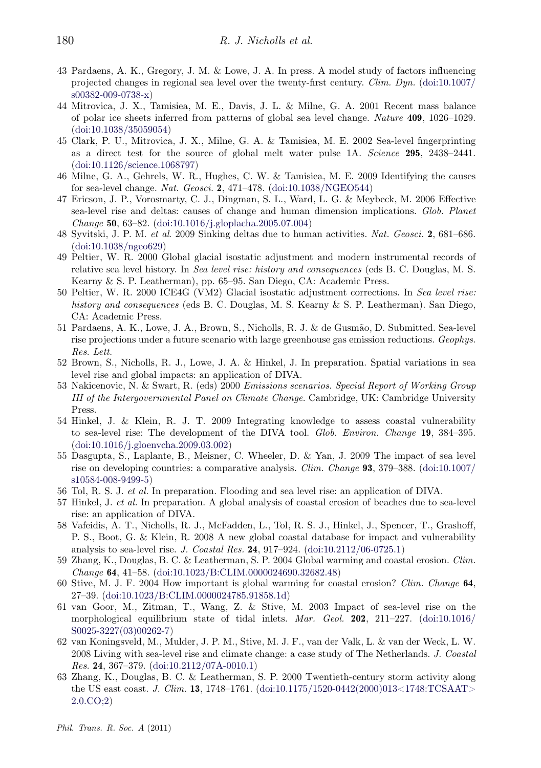- <span id="page-20-0"></span>43 Pardaens, A. K., Gregory, J. M. & Lowe, J. A. In press. A model study of factors influencing projected changes in regional sea level over the twenty-first century. *Clim. Dyn.* [\(doi:10.1007/](http://dx.doi.org/10.1007/s00382-009-0738-x) [s00382-009-0738-x\)](http://dx.doi.org/10.1007/s00382-009-0738-x)
- 44 Mitrovica, J. X., Tamisiea, M. E., Davis, J. L. & Milne, G. A. 2001 Recent mass balance of polar ice sheets inferred from patterns of global sea level change. *Nature* **409**, 1026–1029. [\(doi:10.1038/35059054\)](http://dx.doi.org/10.1038/35059054)
- 45 Clark, P. U., Mitrovica, J. X., Milne, G. A. & Tamisiea, M. E. 2002 Sea-level fingerprinting as a direct test for the source of global melt water pulse 1A. *Science* **295**, 2438–2441. [\(doi:10.1126/science.1068797\)](http://dx.doi.org/10.1126/science.1068797)
- 46 Milne, G. A., Gehrels, W. R., Hughes, C. W. & Tamisiea, M. E. 2009 Identifying the causes for sea-level change. *Nat. Geosci.* **2**, 471–478. [\(doi:10.1038/NGEO544\)](http://dx.doi.org/10.1038/NGEO544)
- 47 Ericson, J. P., Vorosmarty, C. J., Dingman, S. L., Ward, L. G. & Meybeck, M. 2006 Effective sea-level rise and deltas: causes of change and human dimension implications. *Glob. Planet Change* **50**, 63–82. [\(doi:10.1016/j.gloplacha.2005.07.004\)](http://dx.doi.org/10.1016/j.gloplacha.2005.07.004)
- 48 Syvitski, J. P. M. *et al*. 2009 Sinking deltas due to human activities. *Nat. Geosci.* **2**, 681–686. [\(doi:10.1038/ngeo629\)](http://dx.doi.org/10.1038/ngeo629)
- 49 Peltier, W. R. 2000 Global glacial isostatic adjustment and modern instrumental records of relative sea level history. In *Sea level rise: history and consequences* (eds B. C. Douglas, M. S. Kearny & S. P. Leatherman), pp. 65–95. San Diego, CA: Academic Press.
- 50 Peltier, W. R. 2000 ICE4G (VM2) Glacial isostatic adjustment corrections. In *Sea level rise: history and consequences* (eds B. C. Douglas, M. S. Kearny & S. P. Leatherman). San Diego, CA: Academic Press.
- 51 Pardaens, A. K., Lowe, J. A., Brown, S., Nicholls, R. J. & de Gusmão, D. Submitted. Sea-level rise projections under a future scenario with large greenhouse gas emission reductions. *Geophys. Res. Lett*.
- 52 Brown, S., Nicholls, R. J., Lowe, J. A. & Hinkel, J. In preparation. Spatial variations in sea level rise and global impacts: an application of DIVA.
- 53 Nakicenovic, N. & Swart, R. (eds) 2000 *Emissions scenarios. Special Report of Working Group III of the Intergovernmental Panel on Climate Change*. Cambridge, UK: Cambridge University Press.
- 54 Hinkel, J. & Klein, R. J. T. 2009 Integrating knowledge to assess coastal vulnerability to sea-level rise: The development of the DIVA tool. *Glob. Environ. Change* **19**, 384–395. [\(doi:10.1016/j.gloenvcha.2009.03.002\)](http://dx.doi.org/10.1016/j.gloenvcha.2009.03.002)
- 55 Dasgupta, S., Laplante, B., Meisner, C. Wheeler, D. & Yan, J. 2009 The impact of sea level rise on developing countries: a comparative analysis. *Clim. Change* **93**, 379–388. [\(doi:10.1007/](http://dx.doi.org/10.1007/s10584-008-9499-5) [s10584-008-9499-5\)](http://dx.doi.org/10.1007/s10584-008-9499-5)
- 56 Tol, R. S. J. *et al.* In preparation. Flooding and sea level rise: an application of DIVA.
- 57 Hinkel, J. *et al.* In preparation. A global analysis of coastal erosion of beaches due to sea-level rise: an application of DIVA.
- 58 Vafeidis, A. T., Nicholls, R. J., McFadden, L., Tol, R. S. J., Hinkel, J., Spencer, T., Grashoff, P. S., Boot, G. & Klein, R. 2008 A new global coastal database for impact and vulnerability analysis to sea-level rise. *J. Coastal Res.* **24**, 917–924. [\(doi:10.2112/06-0725.1\)](http://dx.doi.org/10.2112/06-0725.1)
- 59 Zhang, K., Douglas, B. C. & Leatherman, S. P. 2004 Global warming and coastal erosion. *Clim. Change* **64**, 41–58. [\(doi:10.1023/B:CLIM.0000024690.32682.48\)](http://dx.doi.org/10.1023/B:CLIM.0000024690.32682.48)
- 60 Stive, M. J. F. 2004 How important is global warming for coastal erosion? *Clim. Change* **64**, 27–39. [\(doi:10.1023/B:CLIM.0000024785.91858.1d\)](http://dx.doi.org/10.1023/B:CLIM.0000024785.91858.1d)
- 61 van Goor, M., Zitman, T., Wang, Z. & Stive, M. 2003 Impact of sea-level rise on the morphological equilibrium state of tidal inlets. *Mar. Geol.* **202**, 211–227. [\(doi:10.1016/](http://dx.doi.org/10.1016/S0025-3227(03)00262-7) [S0025-3227\(03\)00262-7\)](http://dx.doi.org/10.1016/S0025-3227(03)00262-7)
- 62 van Koningsveld, M., Mulder, J. P. M., Stive, M. J. F., van der Valk, L. & van der Weck, L. W. 2008 Living with sea-level rise and climate change: a case study of The Netherlands. *J. Coastal Res.* **24**, 367–379. [\(doi:10.2112/07A-0010.1\)](http://dx.doi.org/10.2112/07A-0010.1)
- 63 Zhang, K., Douglas, B. C. & Leatherman, S. P. 2000 Twentieth-century storm activity along the US east coast. *J. Clim.* **13**, 1748–1761. [\(doi:10.1175/1520-0442\(2000\)013<1748:TCSAAT>](http://dx.doi.org/10.1175/1520-0442(2000)013<1748:TCSAAT>2.0.CO;2) [2.0.CO;2\)](http://dx.doi.org/10.1175/1520-0442(2000)013<1748:TCSAAT>2.0.CO;2)